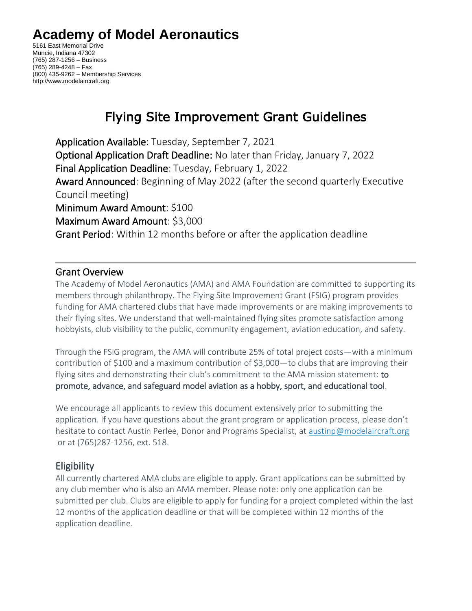# **Academy of Model Aeronautics**

5161 East Memorial Drive Muncie, Indiana 47302 (765) 287-1256 – Business (765) 289-4248 – Fax (800) 435-9262 – Membership Services http://www.modelaircraft.org

# Flying Site Improvement Grant Guidelines

Application Available: Tuesday, September 7, 2021 Optional Application Draft Deadline: No later than Friday, January 7, 2022 Final Application Deadline: Tuesday, February 1, 2022 Award Announced: Beginning of May 2022 (after the second quarterly Executive Council meeting) Minimum Award Amount: \$100 Maximum Award Amount: \$3,000 Grant Period: Within 12 months before or after the application deadline

### Grant Overview

The Academy of Model Aeronautics (AMA) and AMA Foundation are committed to supporting its members through philanthropy. The Flying Site Improvement Grant (FSIG) program provides funding for AMA chartered clubs that have made improvements or are making improvements to their flying sites. We understand that well-maintained flying sites promote satisfaction among hobbyists, club visibility to the public, community engagement, aviation education, and safety.

Through the FSIG program, the AMA will contribute 25% of total project costs—with a minimum contribution of \$100 and a maximum contribution of \$3,000—to clubs that are improving their flying sites and demonstrating their club's commitment to the AMA mission statement: to promote, advance, and safeguard model aviation as a hobby, sport, and educational tool.

We encourage all applicants to review this document extensively prior to submitting the application. If you have questions about the grant program or application process, please don't hesitate to contact Austin Perlee, Donor and Programs Specialist, at [austinp@modelaircraft.org](mailto:austinp@modelaircraft.org) or at (765)287-1256, ext. 518.

# **Eligibility**

All currently chartered AMA clubs are eligible to apply. Grant applications can be submitted by any club member who is also an AMA member. Please note: only one application can be submitted per club. Clubs are eligible to apply for funding for a project completed within the last 12 months of the application deadline or that will be completed within 12 months of the application deadline.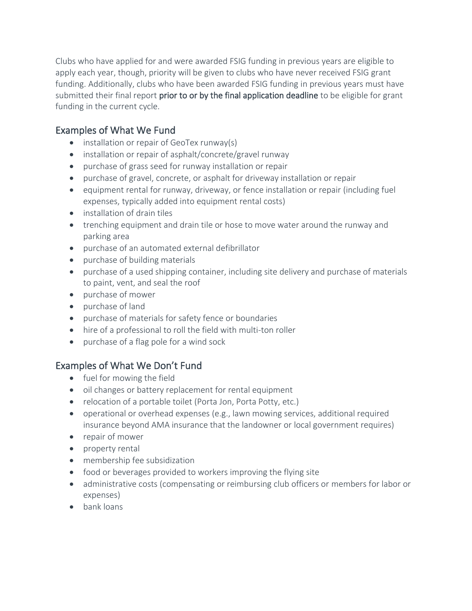Clubs who have applied for and were awarded FSIG funding in previous years are eligible to apply each year, though, priority will be given to clubs who have never received FSIG grant funding. Additionally, clubs who have been awarded FSIG funding in previous years must have submitted their final report prior to or by the final application deadline to be eligible for grant funding in the current cycle.

# Examples of What We Fund

- installation or repair of GeoTex runway(s)
- installation or repair of asphalt/concrete/gravel runway
- purchase of grass seed for runway installation or repair
- purchase of gravel, concrete, or asphalt for driveway installation or repair
- equipment rental for runway, driveway, or fence installation or repair (including fuel expenses, typically added into equipment rental costs)
- installation of drain tiles
- trenching equipment and drain tile or hose to move water around the runway and parking area
- purchase of an automated external defibrillator
- purchase of building materials
- purchase of a used shipping container, including site delivery and purchase of materials to paint, vent, and seal the roof
- purchase of mower
- purchase of land
- purchase of materials for safety fence or boundaries
- hire of a professional to roll the field with multi-ton roller
- purchase of a flag pole for a wind sock

# Examples of What We Don't Fund

- fuel for mowing the field
- oil changes or battery replacement for rental equipment
- relocation of a portable toilet (Porta Jon, Porta Potty, etc.)
- operational or overhead expenses (e.g., lawn mowing services, additional required insurance beyond AMA insurance that the landowner or local government requires)
- repair of mower
- property rental
- membership fee subsidization
- food or beverages provided to workers improving the flying site
- administrative costs (compensating or reimbursing club officers or members for labor or expenses)
- bank loans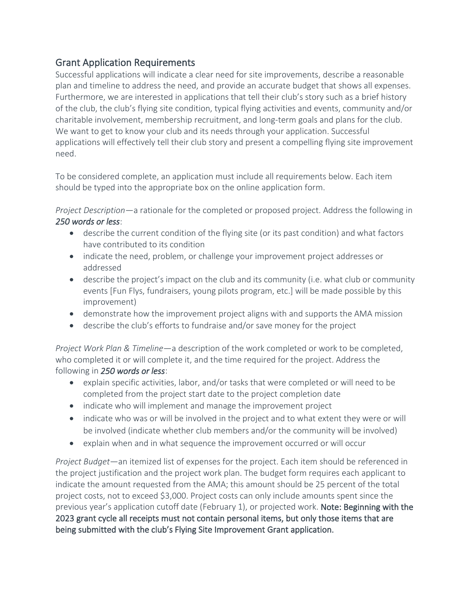## Grant Application Requirements

Successful applications will indicate a clear need for site improvements, describe a reasonable plan and timeline to address the need, and provide an accurate budget that shows all expenses. Furthermore, we are interested in applications that tell their club's story such as a brief history of the club, the club's flying site condition, typical flying activities and events, community and/or charitable involvement, membership recruitment, and long-term goals and plans for the club. We want to get to know your club and its needs through your application. Successful applications will effectively tell their club story and present a compelling flying site improvement need.

To be considered complete, an application must include all requirements below. Each item should be typed into the appropriate box on the online application form.

*Project Description*—a rationale for the completed or proposed project. Address the following in *250 words or less*:

- describe the current condition of the flying site (or its past condition) and what factors have contributed to its condition
- indicate the need, problem, or challenge your improvement project addresses or addressed
- describe the project's impact on the club and its community (i.e. what club or community events [Fun Flys, fundraisers, young pilots program, etc.] will be made possible by this improvement)
- demonstrate how the improvement project aligns with and supports the AMA mission
- describe the club's efforts to fundraise and/or save money for the project

*Project Work Plan & Timeline*—a description of the work completed or work to be completed, who completed it or will complete it, and the time required for the project. Address the following in *250 words or less*:

- explain specific activities, labor, and/or tasks that were completed or will need to be completed from the project start date to the project completion date
- indicate who will implement and manage the improvement project
- indicate who was or will be involved in the project and to what extent they were or will be involved (indicate whether club members and/or the community will be involved)
- explain when and in what sequence the improvement occurred or will occur

*Project Budget*—an itemized list of expenses for the project. Each item should be referenced in the project justification and the project work plan. The budget form requires each applicant to indicate the amount requested from the AMA; this amount should be 25 percent of the total project costs, not to exceed \$3,000. Project costs can only include amounts spent since the previous year's application cutoff date (February 1), or projected work. Note: Beginning with the 2023 grant cycle all receipts must not contain personal items, but only those items that are being submitted with the club's Flying Site Improvement Grant application.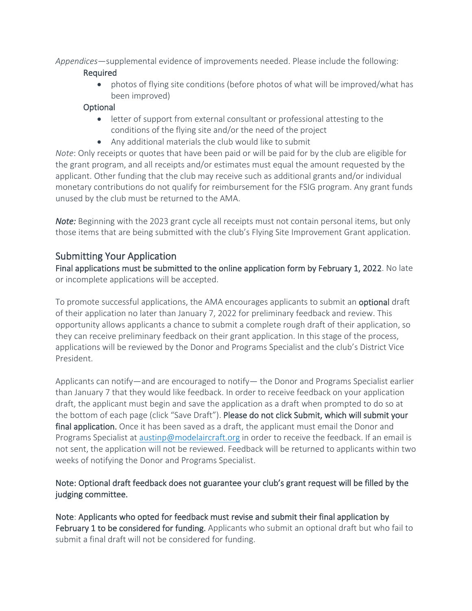*Appendices*—supplemental evidence of improvements needed. Please include the following:

#### Required

• photos of flying site conditions (before photos of what will be improved/what has been improved)

## **Optional**

- letter of support from external consultant or professional attesting to the conditions of the flying site and/or the need of the project
- Any additional materials the club would like to submit

*Note*: Only receipts or quotes that have been paid or will be paid for by the club are eligible for the grant program, and all receipts and/or estimates must equal the amount requested by the applicant. Other funding that the club may receive such as additional grants and/or individual monetary contributions do not qualify for reimbursement for the FSIG program. Any grant funds unused by the club must be returned to the AMA.

*Note:* Beginning with the 2023 grant cycle all receipts must not contain personal items, but only those items that are being submitted with the club's Flying Site Improvement Grant application.

## Submitting Your Application

Final applications must be submitted to the online application form by February 1, 2022. No late or incomplete applications will be accepted.

To promote successful applications, the AMA encourages applicants to submit an **optional** draft of their application no later than January 7, 2022 for preliminary feedback and review. This opportunity allows applicants a chance to submit a complete rough draft of their application, so they can receive preliminary feedback on their grant application. In this stage of the process, applications will be reviewed by the Donor and Programs Specialist and the club's District Vice President.

Applicants can notify—and are encouraged to notify— the Donor and Programs Specialist earlier than January 7 that they would like feedback. In order to receive feedback on your application draft, the applicant must begin and save the application as a draft when prompted to do so at the bottom of each page (click "Save Draft"). Please do not click Submit, which will submit your final application. Once it has been saved as a draft, the applicant must email the Donor and Programs Specialist a[t austinp@modelaircraft.org](mailto:austinp@modelaircraft.org) in order to receive the feedback. If an email is not sent, the application will not be reviewed. Feedback will be returned to applicants within two weeks of notifying the Donor and Programs Specialist.

### Note: Optional draft feedback does not guarantee your club's grant request will be filled by the judging committee.

Note: Applicants who opted for feedback must revise and submit their final application by February 1 to be considered for funding. Applicants who submit an optional draft but who fail to submit a final draft will not be considered for funding.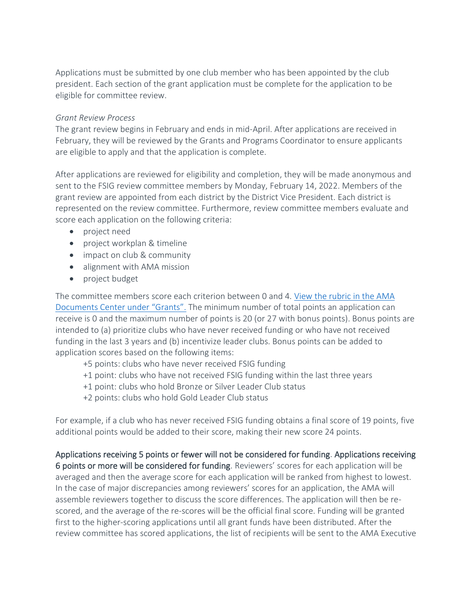Applications must be submitted by one club member who has been appointed by the club president. Each section of the grant application must be complete for the application to be eligible for committee review.

#### *Grant Review Process*

The grant review begins in February and ends in mid-April. After applications are received in February, they will be reviewed by the Grants and Programs Coordinator to ensure applicants are eligible to apply and that the application is complete.

After applications are reviewed for eligibility and completion, they will be made anonymous and sent to the FSIG review committee members by Monday, February 14, 2022. Members of the grant review are appointed from each district by the District Vice President. Each district is represented on the review committee. Furthermore, review committee members evaluate and score each application on the following criteria:

- project need
- project workplan & timeline
- impact on club & community
- alignment with AMA mission
- project budget

The committee members score each criterion between 0 and 4. [View the rubric in the AMA](https://www.modelaircraft.org/documents)  [Documents Center under "Grants"](https://www.modelaircraft.org/documents). The minimum number of total points an application can receive is 0 and the maximum number of points is 20 (or 27 with bonus points). Bonus points are intended to (a) prioritize clubs who have never received funding or who have not received funding in the last 3 years and (b) incentivize leader clubs. Bonus points can be added to application scores based on the following items:

- +5 points: clubs who have never received FSIG funding
- +1 point: clubs who have not received FSIG funding within the last three years
- +1 point: clubs who hold Bronze or Silver Leader Club status
- +2 points: clubs who hold Gold Leader Club status

For example, if a club who has never received FSIG funding obtains a final score of 19 points, five additional points would be added to their score, making their new score 24 points.

Applications receiving 5 points or fewer will not be considered for funding. Applications receiving 6 points or more will be considered for funding. Reviewers' scores for each application will be averaged and then the average score for each application will be ranked from highest to lowest. In the case of major discrepancies among reviewers' scores for an application, the AMA will assemble reviewers together to discuss the score differences. The application will then be rescored, and the average of the re-scores will be the official final score. Funding will be granted first to the higher-scoring applications until all grant funds have been distributed. After the review committee has scored applications, the list of recipients will be sent to the AMA Executive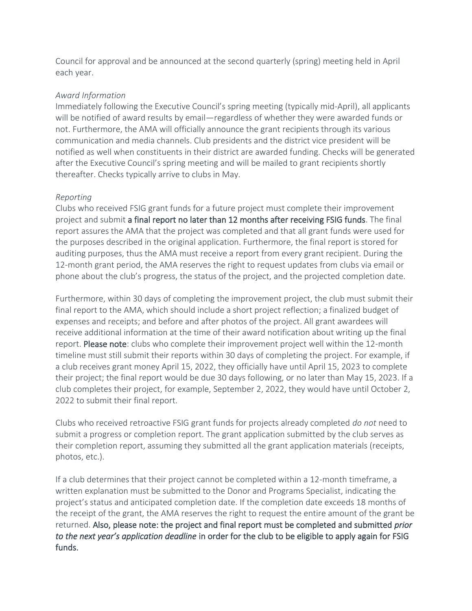Council for approval and be announced at the second quarterly (spring) meeting held in April each year.

#### *Award Information*

Immediately following the Executive Council's spring meeting (typically mid-April), all applicants will be notified of award results by email—regardless of whether they were awarded funds or not. Furthermore, the AMA will officially announce the grant recipients through its various communication and media channels. Club presidents and the district vice president will be notified as well when constituents in their district are awarded funding. Checks will be generated after the Executive Council's spring meeting and will be mailed to grant recipients shortly thereafter. Checks typically arrive to clubs in May.

#### *Reporting*

Clubs who received FSIG grant funds for a future project must complete their improvement project and submit a final report no later than 12 months after receiving FSIG funds. The final report assures the AMA that the project was completed and that all grant funds were used for the purposes described in the original application. Furthermore, the final report is stored for auditing purposes, thus the AMA must receive a report from every grant recipient. During the 12-month grant period, the AMA reserves the right to request updates from clubs via email or phone about the club's progress, the status of the project, and the projected completion date.

Furthermore, within 30 days of completing the improvement project, the club must submit their final report to the AMA, which should include a short project reflection; a finalized budget of expenses and receipts; and before and after photos of the project. All grant awardees will receive additional information at the time of their award notification about writing up the final report. Please note: clubs who complete their improvement project well within the 12-month timeline must still submit their reports within 30 days of completing the project. For example, if a club receives grant money April 15, 2022, they officially have until April 15, 2023 to complete their project; the final report would be due 30 days following, or no later than May 15, 2023. If a club completes their project, for example, September 2, 2022, they would have until October 2, 2022 to submit their final report.

Clubs who received retroactive FSIG grant funds for projects already completed *do not* need to submit a progress or completion report. The grant application submitted by the club serves as their completion report, assuming they submitted all the grant application materials (receipts, photos, etc.).

If a club determines that their project cannot be completed within a 12-month timeframe, a written explanation must be submitted to the Donor and Programs Specialist, indicating the project's status and anticipated completion date. If the completion date exceeds 18 months of the receipt of the grant, the AMA reserves the right to request the entire amount of the grant be returned. Also, please note: the project and final report must be completed and submitted *prior to the next year's application deadline* in order for the club to be eligible to apply again for FSIG funds.